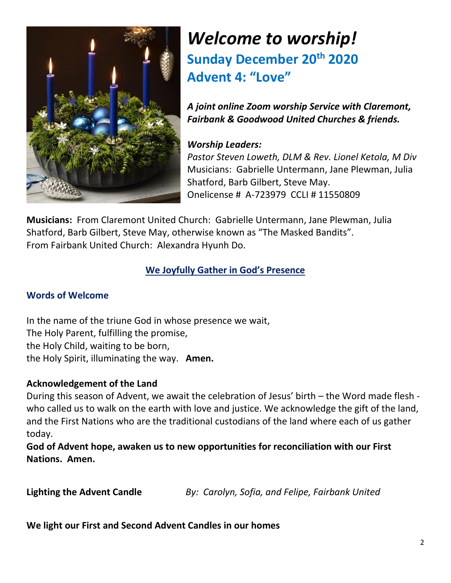

## *Welcome to worship!* **Sunday December 20th 2020 Advent 4: "Love"**

*A joint online Zoom worship Service with Claremont, Fairbank & Goodwood United Churches & friends.*

#### *Worship Leaders:*

*Pastor Steven Loweth, DLM & Rev. Lionel Ketola, M Div* Musicians: Gabrielle Untermann, Jane Plewman, Julia Shatford, Barb Gilbert, Steve May. Onelicense # A-723979 CCLI # 11550809

**Musicians:** From Claremont United Church: Gabrielle Untermann, Jane Plewman, Julia Shatford, Barb Gilbert, Steve May, otherwise known as "The Masked Bandits". From Fairbank United Church: Alexandra Hyunh Do.

#### **We Joyfully Gather in God's Presence**

#### **Words of Welcome**

In the name of the triune God in whose presence we wait, The Holy Parent, fulfilling the promise, the Holy Child, waiting to be born, the Holy Spirit, illuminating the way. **Amen.** 

#### **Acknowledgement of the Land**

During this season of Advent, we await the celebration of Jesus' birth – the Word made flesh who called us to walk on the earth with love and justice. We acknowledge the gift of the land, and the First Nations who are the traditional custodians of the land where each of us gather today.

**God of Advent hope, awaken us to new opportunities for reconciliation with our First Nations. Amen.** 

**Lighting the Advent Candle** *By: Carolyn, Sofia, and Felipe, Fairbank United* 

**We light our First and Second Advent Candles in our homes**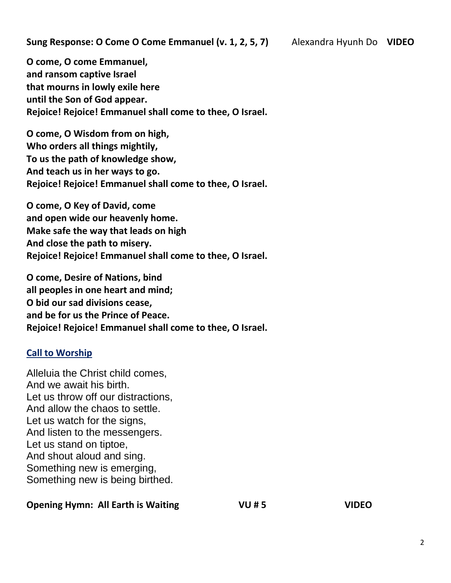**O come, O come Emmanuel, and ransom captive Israel that mourns in lowly exile here until the Son of God appear. Rejoice! Rejoice! Emmanuel shall come to thee, O Israel.** 

**O come, O Wisdom from on high, Who orders all things mightily, To us the path of knowledge show, And teach us in her ways to go. Rejoice! Rejoice! Emmanuel shall come to thee, O Israel.**

**O come, O Key of David, come and open wide our heavenly home. Make safe the way that leads on high And close the path to misery. Rejoice! Rejoice! Emmanuel shall come to thee, O Israel.**

**O come, Desire of Nations, bind all peoples in one heart and mind; O bid our sad divisions cease, and be for us the Prince of Peace. Rejoice! Rejoice! Emmanuel shall come to thee, O Israel.**

#### **Call to Worship**

Alleluia the Christ child comes, And we await his birth. Let us throw off our distractions, And allow the chaos to settle. Let us watch for the signs, And listen to the messengers. Let us stand on tiptoe, And shout aloud and sing. Something new is emerging, Something new is being birthed.

#### **Opening Hymn: All Earth is Waiting**  $VU # 5$  **VIDEO**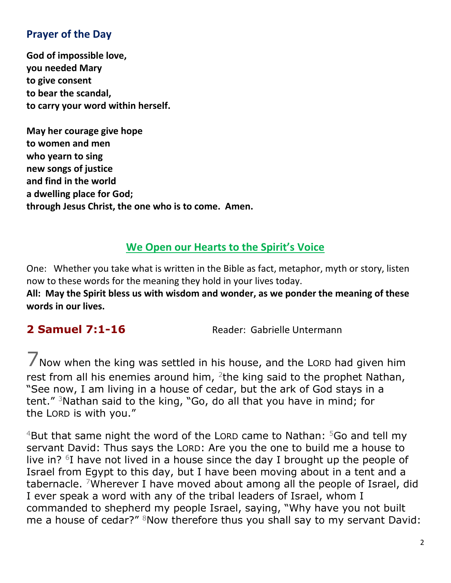#### **Prayer of the Day**

**God of impossible love, you needed Mary to give consent to bear the scandal, to carry your word within herself.**

**May her courage give hope to women and men who yearn to sing new songs of justice and find in the world a dwelling place for God; through Jesus Christ, the one who is to come. Amen.** 

#### **We Open our Hearts to the Spirit's Voice**

One: Whether you take what is written in the Bible as fact, metaphor, myth or story, listen now to these words for the meaning they hold in your lives today. **All: May the Spirit bless us with wisdom and wonder, as we ponder the meaning of these words in our lives.**

**2 Samuel 7:1-16** Reader: Gabrielle Untermann

7Now when the king was settled in his house, and the <sup>L</sup>ORD had given him rest from all his enemies around him, <sup>2</sup>the king said to the prophet Nathan, "See now, I am living in a house of cedar, but the ark of God stays in a tent." <sup>3</sup>Nathan said to the king, "Go, do all that you have in mind; for the LORD is with you."

 $4$ But that same night the word of the LORD came to Nathan:  $5$ Go and tell my servant David: Thus says the LORD: Are you the one to build me a house to live in?  $6I$  have not lived in a house since the day I brought up the people of Israel from Egypt to this day, but I have been moving about in a tent and a tabernacle. <sup>7</sup>Wherever I have moved about among all the people of Israel, did I ever speak a word with any of the tribal leaders of Israel, whom I commanded to shepherd my people Israel, saying, "Why have you not built me a house of cedar?" <sup>8</sup>Now therefore thus you shall say to my servant David: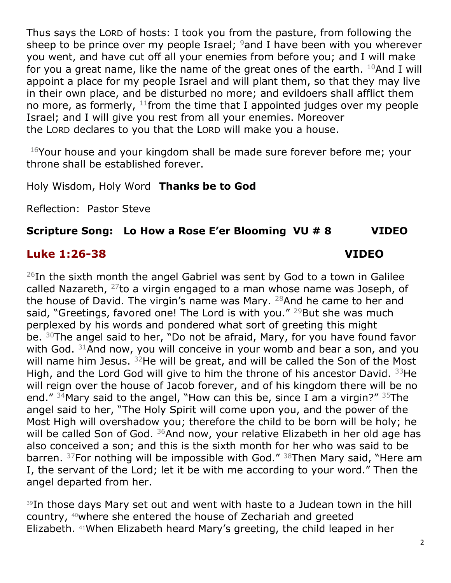Thus says the LORD of hosts: I took you from the pasture, from following the sheep to be prince over my people Israel;  $9$  and I have been with you wherever you went, and have cut off all your enemies from before you; and I will make for you a great name, like the name of the great ones of the earth.  $10$ And I will appoint a place for my people Israel and will plant them, so that they may live in their own place, and be disturbed no more; and evildoers shall afflict them no more, as formerly,  $11$  from the time that I appointed judges over my people Israel; and I will give you rest from all your enemies. Moreover the LORD declares to you that the LORD will make you a house.

<sup>16</sup>Your house and your kingdom shall be made sure forever before me; your throne shall be established forever.

Holy Wisdom, Holy Word **Thanks be to God** 

Reflection: Pastor Steve

### **Scripture Song: Lo How a Rose E'er Blooming VU # 8 VIDEO**

### **Luke 1:26-38 VIDEO**

 $26$ In the sixth month the angel Gabriel was sent by God to a town in Galilee called Nazareth,  $27$  to a virgin engaged to a man whose name was Joseph, of the house of David. The virgin's name was Mary. <sup>28</sup>And he came to her and said, "Greetings, favored one! The Lord is with you." <sup>29</sup>But she was much perplexed by his words and pondered what sort of greeting this might be. <sup>30</sup>The angel said to her, "Do not be afraid, Mary, for you have found favor with God. <sup>31</sup>And now, you will conceive in your womb and bear a son, and you will name him Jesus. <sup>32</sup>He will be great, and will be called the Son of the Most High, and the Lord God will give to him the throne of his ancestor David. <sup>33</sup>He will reign over the house of Jacob forever, and of his kingdom there will be no end."  $34$ Mary said to the angel, "How can this be, since I am a virgin?"  $35$ The angel said to her, "The Holy Spirit will come upon you, and the power of the Most High will overshadow you; therefore the child to be born will be holy; he will be called Son of God.  $36$ And now, your relative Elizabeth in her old age has also conceived a son; and this is the sixth month for her who was said to be barren. <sup>37</sup>For nothing will be impossible with God." <sup>38</sup>Then Mary said, "Here am I, the servant of the Lord; let it be with me according to your word." Then the angel departed from her.

<sup>39</sup>In those days Mary set out and went with haste to a Judean town in the hill country, <sup>40</sup>where she entered the house of Zechariah and greeted Elizabeth. <sup>41</sup>When Elizabeth heard Mary's greeting, the child leaped in her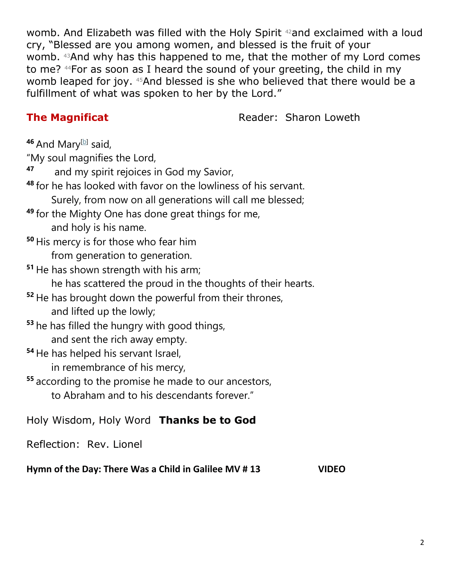womb. And Elizabeth was filled with the Holy Spirit <sup>42</sup>and exclaimed with a loud cry, "Blessed are you among women, and blessed is the fruit of your womb. <sup>43</sup>And why has this happened to me, that the mother of my Lord comes to me? <sup>44</sup>For as soon as I heard the sound of your greeting, the child in my womb leaped for joy. <sup>45</sup>And blessed is she who believed that there would be a fulfillment of what was spoken to her by the Lord."

**The Magnificat Reader: Sharon Loweth** 

<sup>46</sup> And Mary<sup>[\[b\]](https://www.biblegateway.com/passage/?search=Luke+1%3A39-56&version=NRSV#fen-NRSV-24932b)</sup> said,

"My soul magnifies the Lord,

**<sup>47</sup>** and my spirit rejoices in God my Savior,

**<sup>48</sup>** for he has looked with favor on the lowliness of his servant.

Surely, from now on all generations will call me blessed;

- **<sup>49</sup>** for the Mighty One has done great things for me, and holy is his name.
- **<sup>50</sup>** His mercy is for those who fear him from generation to generation.
- **<sup>51</sup>** He has shown strength with his arm;

he has scattered the proud in the thoughts of their hearts.

- **<sup>52</sup>** He has brought down the powerful from their thrones, and lifted up the lowly;
- **<sup>53</sup>** he has filled the hungry with good things, and sent the rich away empty.
- **<sup>54</sup>** He has helped his servant Israel,

in remembrance of his mercy,

**<sup>55</sup>** according to the promise he made to our ancestors, to Abraham and to his descendants forever."

Holy Wisdom, Holy Word **Thanks be to God**

Reflection: Rev. Lionel

**Hymn of the Day: There Was a Child in Galilee MV # 13 VIDEO**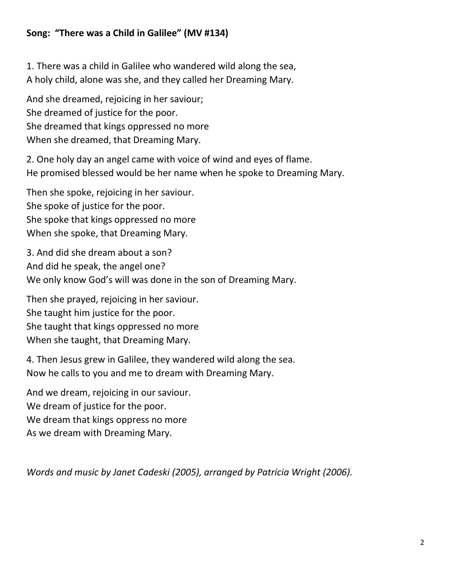#### **Song: "There was a Child in Galilee" (MV #134)**

1. There was a child in Galilee who wandered wild along the sea, A holy child, alone was she, and they called her Dreaming Mary.

And she dreamed, rejoicing in her saviour; She dreamed of justice for the poor. She dreamed that kings oppressed no more When she dreamed, that Dreaming Mary.

2. One holy day an angel came with voice of wind and eyes of flame. He promised blessed would be her name when he spoke to Dreaming Mary.

Then she spoke, rejoicing in her saviour. She spoke of justice for the poor. She spoke that kings oppressed no more When she spoke, that Dreaming Mary.

3. And did she dream about a son? And did he speak, the angel one? We only know God's will was done in the son of Dreaming Mary.

Then she prayed, rejoicing in her saviour. She taught him justice for the poor. She taught that kings oppressed no more When she taught, that Dreaming Mary.

4. Then Jesus grew in Galilee, they wandered wild along the sea. Now he calls to you and me to dream with Dreaming Mary.

And we dream, rejoicing in our saviour. We dream of justice for the poor. We dream that kings oppress no more As we dream with Dreaming Mary.

*Words and music by Janet Cadeski (2005), arranged by Patricia Wright (2006).*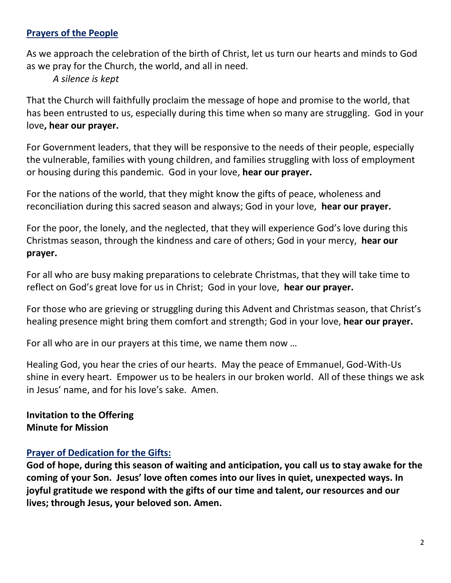#### **Prayers of the People**

As we approach the celebration of the birth of Christ, let us turn our hearts and minds to God as we pray for the Church, the world, and all in need.

*A silence is kept* 

That the Church will faithfully proclaim the message of hope and promise to the world, that has been entrusted to us, especially during this time when so many are struggling. God in your love**, hear our prayer.**

For Government leaders, that they will be responsive to the needs of their people, especially the vulnerable, families with young children, and families struggling with loss of employment or housing during this pandemic. God in your love, **hear our prayer.** 

For the nations of the world, that they might know the gifts of peace, wholeness and reconciliation during this sacred season and always; God in your love, **hear our prayer.**

For the poor, the lonely, and the neglected, that they will experience God's love during this Christmas season, through the kindness and care of others; God in your mercy, **hear our prayer.** 

For all who are busy making preparations to celebrate Christmas, that they will take time to reflect on God's great love for us in Christ; God in your love, **hear our prayer.** 

For those who are grieving or struggling during this Advent and Christmas season, that Christ's healing presence might bring them comfort and strength; God in your love, **hear our prayer.** 

For all who are in our prayers at this time, we name them now …

Healing God, you hear the cries of our hearts. May the peace of Emmanuel, God-With-Us shine in every heart. Empower us to be healers in our broken world. All of these things we ask in Jesus' name, and for his love's sake. Amen.

**Invitation to the Offering Minute for Mission** 

#### **Prayer of Dedication for the Gifts:**

**God of hope, during this season of waiting and anticipation, you call us to stay awake for the coming of your Son. Jesus' love often comes into our lives in quiet, unexpected ways. In joyful gratitude we respond with the gifts of our time and talent, our resources and our lives; through Jesus, your beloved son. Amen.**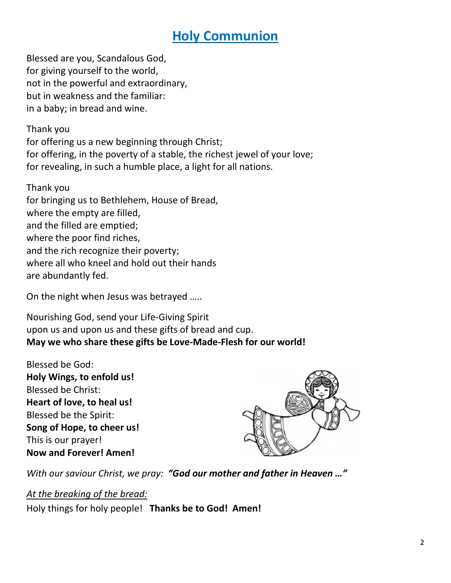## **Holy Communion**

Blessed are you, Scandalous God, for giving yourself to the world, not in the powerful and extraordinary, but in weakness and the familiar: in a baby; in bread and wine.

Thank you

for offering us a new beginning through Christ; for offering, in the poverty of a stable, the richest jewel of your love; for revealing, in such a humble place, a light for all nations.

Thank you for bringing us to Bethlehem, House of Bread, where the empty are filled, and the filled are emptied; where the poor find riches, and the rich recognize their poverty; where all who kneel and hold out their hands are abundantly fed.

On the night when Jesus was betrayed …..

Nourishing God, send your Life-Giving Spirit upon us and upon us and these gifts of bread and cup. **May we who share these gifts be Love-Made-Flesh for our world!** 

Blessed be God: **Holy Wings, to enfold us!**  Blessed be Christ: **Heart of love, to heal us!** Blessed be the Spirit: **Song of Hope, to cheer us!** This is our prayer! **Now and Forever! Amen!** 



*With our saviour Christ, we pray: "God our mother and father in Heaven …"* 

*At the breaking of the bread:* 

Holy things for holy people! **Thanks be to God! Amen!**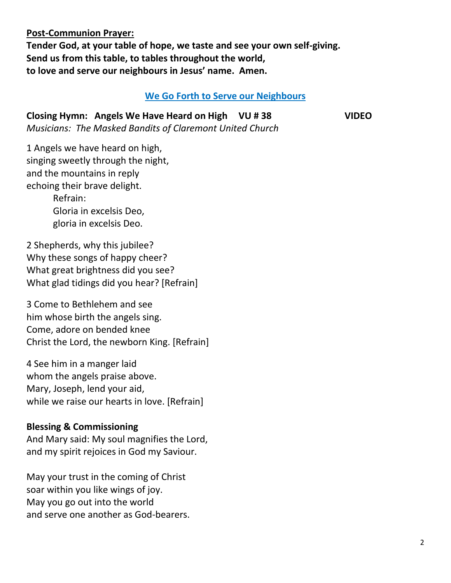**Post-Communion Prayer: Tender God, at your table of hope, we taste and see your own self-giving. Send us from this table, to tables throughout the world, to love and serve our neighbours in Jesus' name. Amen.** 

#### **We Go Forth to Serve our Neighbours**

**Closing Hymn: Angels We Have Heard on High VU # 38 VIDEO**  *Musicians: The Masked Bandits of Claremont United Church*

1 Angels we have heard on high, singing sweetly through the night, and the mountains in reply echoing their brave delight.

> Refrain: Gloria in excelsis Deo, gloria in excelsis Deo.

2 Shepherds, why this jubilee? Why these songs of happy cheer? What great brightness did you see? What glad tidings did you hear? [Refrain]

3 Come to Bethlehem and see him whose birth the angels sing. Come, adore on bended knee Christ the Lord, the newborn King. [Refrain]

4 See him in a manger laid whom the angels praise above. Mary, Joseph, lend your aid, while we raise our hearts in love. [Refrain]

#### **Blessing & Commissioning**

And Mary said: My soul magnifies the Lord, and my spirit rejoices in God my Saviour.

May your trust in the coming of Christ soar within you like wings of joy. May you go out into the world and serve one another as God-bearers.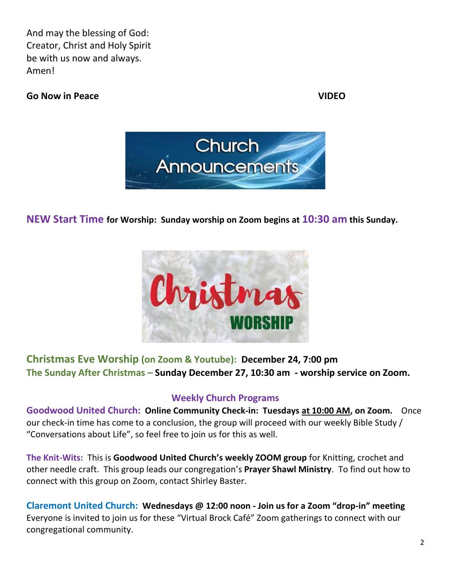And may the blessing of God: Creator, Christ and Holy Spirit be with us now and always. Amen!

#### **Go Now in Peace VIDEO**



#### **NEW Start Time for Worship: Sunday worship on Zoom begins at 10:30 am this Sunday.**



#### **Christmas Eve Worship (on Zoom & Youtube): December 24, 7:00 pm The Sunday After Christmas – Sunday December 27, 10:30 am - worship service on Zoom.**

#### **Weekly Church Programs**

**Goodwood United Church: Online Community Check-in: Tuesdays at 10:00 AM, on Zoom.** Once our check-in time has come to a conclusion, the group will proceed with our weekly Bible Study / "Conversations about Life", so feel free to join us for this as well.

**The Knit-Wits:** This is **Goodwood United Church's weekly ZOOM group** for Knitting, crochet and other needle craft. This group leads our congregation's **Prayer Shawl Ministry**. To find out how to connect with this group on Zoom, contact Shirley Baster.

**Claremont United Church: Wednesdays @ 12:00 noon - Join us for a Zoom "drop-in" meeting**  Everyone is invited to join us for these "Virtual Brock Café" Zoom gatherings to connect with our congregational community.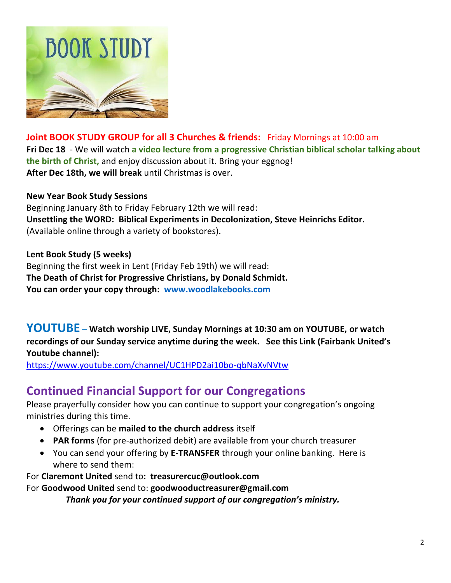

**Joint BOOK STUDY GROUP for all 3 Churches & friends:** Friday Mornings at 10:00 am **Fri Dec 18** - We will watch **a video lecture from a progressive Christian biblical scholar talking about the birth of Christ,** and enjoy discussion about it. Bring your eggnog! **After Dec 18th, we will break** until Christmas is over.

#### **New Year Book Study Sessions**

Beginning January 8th to Friday February 12th we will read: **Unsettling the WORD: Biblical Experiments in Decolonization, Steve Heinrichs Editor.**  (Available online through a variety of bookstores).

#### **Lent Book Study (5 weeks)**

Beginning the first week in Lent (Friday Feb 19th) we will read: **The Death of Christ for Progressive Christians, by Donald Schmidt. You can order your copy through: [www.woodlakebooks.com](http://www.woodlakebooks.com/)**

**YOUTUBE – Watch worship LIVE, Sunday Mornings at 10:30 am on YOUTUBE, or watch recordings of our Sunday service anytime during the week. See this Link (Fairbank United's Youtube channel):**

[https://www.youtube.com/channel/UC1HPD2ai10bo-qbNaXvNVtw](about:blank)

### **Continued Financial Support for our Congregations**

Please prayerfully consider how you can continue to support your congregation's ongoing ministries during this time.

- Offerings can be **mailed to the church address** itself
- **PAR forms** (for pre-authorized debit) are available from your church treasurer
- You can send your offering by **E-TRANSFER** through your online banking. Here is where to send them:

For **Claremont United** send to**: treasurercuc@outlook.com**

For **Goodwood United** send to: **[goodwooductreasurer@gmail.com](about:blank)**

*Thank you for your continued support of our congregation's ministry.*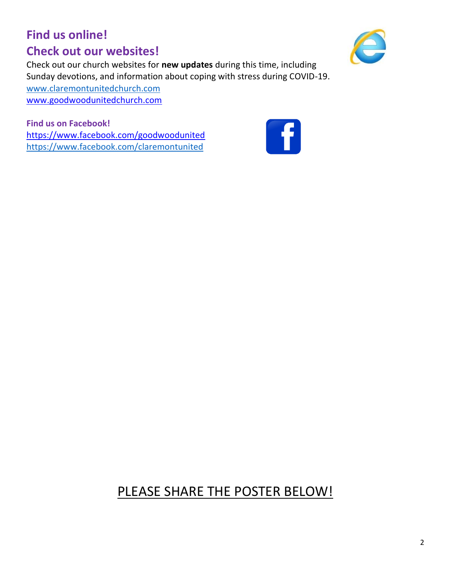## **Find us online! Check out our websites!**



Check out our church websites for **new updates** during this time, including Sunday devotions, and information about coping with stress during COVID-19. [www.claremontunitedchurch.com](about:blank) [www.goodwoodunitedchurch.com](about:blank)

**Find us on Facebook!**  [https://www.facebook.com/goodwoodunited](about:blank) [https://www.facebook.com/claremontunited](about:blank)



## PLEASE SHARE THE POSTER BELOW!